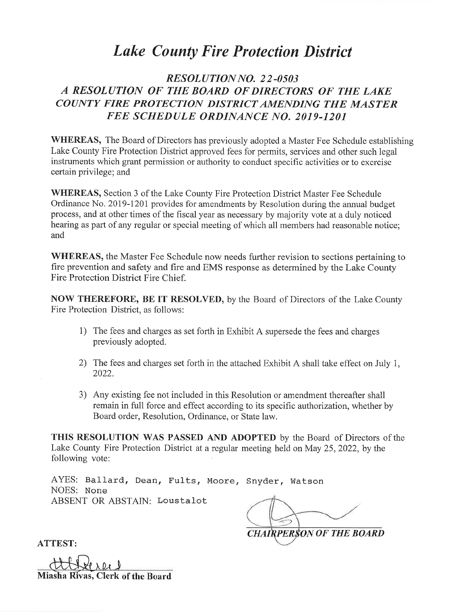# **Lake County Fire Protection District**

## RESOLUTION NO. 22-0503 A RESOLUTION OF THE BOARD OF DIRECTORS OF THE LAKE COUNTY FIRE PROTECTION DISTRICT AMENDING THE MASTER FEE SCHEDULE ORDINANCE NO. 2019-1201

WHEREAS, The Board of Directors has previously adopted a Master Fee Schedule establishing Lake County Fire Protection District approved fees for permits, services and other such legal instruments which grant permission or authority to conduct specific activities or to exercise certain privilege; and

WHEREAS, Section 3 of the Lake County Fire Protection District Master Fee Schedule Ordinance No. 2019-1201 provides for amendments by Resolution during the annual budget process, and at other times of the fiscal year as necessary by majority vote at a duly noticed hearing as part of any regular or special meeting of which all members had reasonable notice; and

WHEREAS, the Master Fee Schedule now needs further revision to sections pertaining to fire prevention and safety and fire and EMS response as determined by the Lake County Fire Protection District Fire Chief.

**NOW THEREFORE, BE IT RESOLVED, by the Board of Directors of the Lake County** Fire Protection District, as follows:

- 1) The fees and charges as set forth in Exhibit A supersede the fees and charges previously adopted.
- 2) The fees and charges set forth in the attached Exhibit A shall take effect on July 1, 2022.
- 3) Any existing fee not included in this Resolution or amendment thereafter shall remain in full force and effect according to its specific authorization, whether by Board order, Resolution, Ordinance, or State law.

THIS RESOLUTION WAS PASSED AND ADOPTED by the Board of Directors of the Lake County Fire Protection District at a regular meeting held on May 25, 2022, by the following vote:

AYES: Ballard, Dean, Fults, Moore, Snyder, Watson NOES: None ABSENT OR ABSTAIN: Loustalot

**CHAIRPERSON OF THE BOARD** 

**ATTEST:** 

Miasha Rivas, Clerk of the Board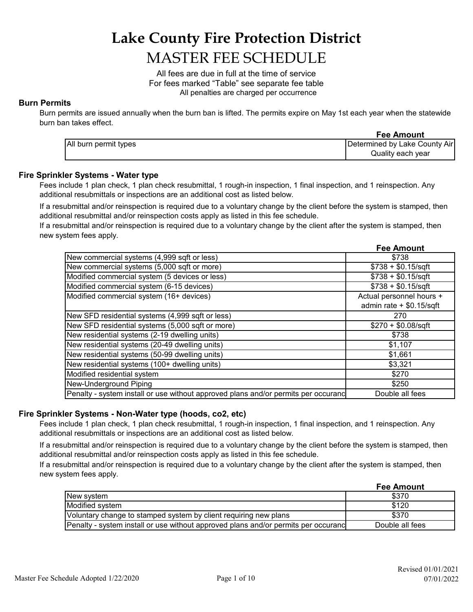# **Lake County Fire Protection District**

# MASTER FEE SCHEDULE

 All penalties are charged per occurrence All fees are due in full at the time of service For fees marked "Table" see separate fee table

## **Burn Permits**

Burn permits are issued annually when the burn ban is lifted. The permits expire on May 1st each year when the statewide burn ban takes effect.

|                       | <b>Fee Amount</b>             |
|-----------------------|-------------------------------|
| All burn permit types | Determined by Lake County Air |
|                       | Quality each year             |

## **Fire Sprinkler Systems - Water type**

Fees include 1 plan check, 1 plan check resubmittal, 1 rough-in inspection, 1 final inspection, and 1 reinspection. Any additional resubmittals or inspections are an additional cost as listed below.

If a resubmittal and/or reinspection is required due to a voluntary change by the client before the system is stamped, then additional resubmittal and/or reinspection costs apply as listed in this fee schedule.

If a resubmittal and/or reinspection is required due to a voluntary change by the client after the system is stamped, then new system fees apply.

|                                                                                    | <b>Fee Amount</b>          |
|------------------------------------------------------------------------------------|----------------------------|
| New commercial systems (4,999 sqft or less)                                        | \$738                      |
| New commercial systems (5,000 sqft or more)                                        | $$738 + $0.15$ /sqft       |
| Modified commercial system (5 devices or less)                                     | $$738 + $0.15$ /sqft       |
| Modified commercial system (6-15 devices)                                          | $$738 + $0.15$ /sqft       |
| Modified commercial system (16+ devices)                                           | Actual personnel hours +   |
|                                                                                    | admin rate $+$ \$0.15/sqft |
| New SFD residential systems (4,999 sqft or less)                                   | 270                        |
| New SFD residential systems (5,000 sqft or more)                                   | $$270 + $0.08/sqft$        |
| New residential systems (2-19 dwelling units)                                      | \$738                      |
| New residential systems (20-49 dwelling units)                                     | \$1,107                    |
| New residential systems (50-99 dwelling units)                                     | \$1,661                    |
| New residential systems (100+ dwelling units)                                      | \$3,321                    |
| Modified residential system                                                        | \$270                      |
| New-Underground Piping                                                             | \$250                      |
| Penalty - system install or use without approved plans and/or permits per occuranc | Double all fees            |

## **Fire Sprinkler Systems - Non-Water type (hoods, co2, etc)**

Fees include 1 plan check, 1 plan check resubmittal, 1 rough-in inspection, 1 final inspection, and 1 reinspection. Any additional resubmittals or inspections are an additional cost as listed below.

If a resubmittal and/or reinspection is required due to a voluntary change by the client before the system is stamped, then additional resubmittal and/or reinspection costs apply as listed in this fee schedule.

If a resubmittal and/or reinspection is required due to a voluntary change by the client after the system is stamped, then new system fees apply.

|                                                                                    | <b>Fee Amount</b> |
|------------------------------------------------------------------------------------|-------------------|
| New system                                                                         | \$370             |
| Modified system                                                                    | \$120             |
| Voluntary change to stamped system by client requiring new plans                   | \$370             |
| Penalty - system install or use without approved plans and/or permits per occuranc | Double all fees   |

**Fee Amount**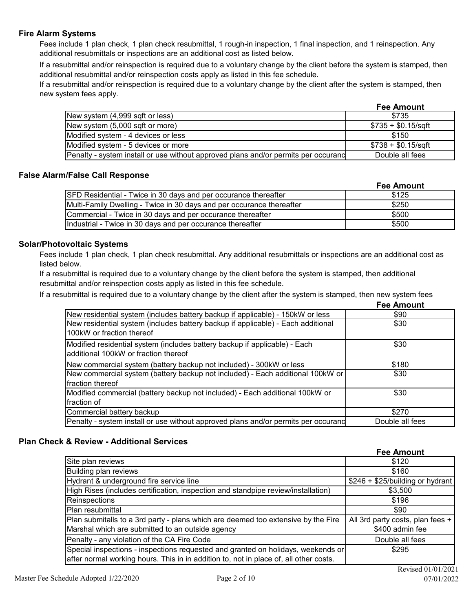## **Fire Alarm Systems**

Fees include 1 plan check, 1 plan check resubmittal, 1 rough-in inspection, 1 final inspection, and 1 reinspection. Any additional resubmittals or inspections are an additional cost as listed below.

If a resubmittal and/or reinspection is required due to a voluntary change by the client before the system is stamped, then additional resubmittal and/or reinspection costs apply as listed in this fee schedule.

If a resubmittal and/or reinspection is required due to a voluntary change by the client after the system is stamped, then new system fees apply.

|                                                                                    | <b>Fee Amount</b>    |
|------------------------------------------------------------------------------------|----------------------|
| New system (4,999 sqft or less)                                                    | \$735                |
| New system (5,000 sqft or more)                                                    | $$735 + $0.15$ /sqft |
| Modified system - 4 devices or less                                                | \$150                |
| Modified system - 5 devices or more                                                | $$738 + $0.15$ /sqft |
| Penalty - system install or use without approved plans and/or permits per occurand | Double all fees      |

## **False Alarm/False Call Response**

|                                                                        | <b>Fee Amount</b> |
|------------------------------------------------------------------------|-------------------|
| <b>SFD Residential - Twice in 30 days and per occurance thereafter</b> | \$125             |
| Multi-Family Dwelling - Twice in 30 days and per occurance thereafter  | \$250             |
| Commercial - Twice in 30 days and per occurance thereafter             | \$500             |
| Industrial - Twice in 30 days and per occurance thereafter             | \$500             |

## **Solar/Photovoltaic Systems**

Fees include 1 plan check, 1 plan check resubmittal. Any additional resubmittals or inspections are an additional cost as listed below.

If a resubmittal is required due to a voluntary change by the client before the system is stamped, then additional resubmittal and/or reinspection costs apply as listed in this fee schedule.

If a resubmittal is required due to a voluntary change by the client after the system is stamped, then new system fees

|                                                                                                                    | <b>Fee Amount</b> |
|--------------------------------------------------------------------------------------------------------------------|-------------------|
| New residential system (includes battery backup if applicable) - 150kW or less                                     | \$90              |
| New residential system (includes battery backup if applicable) - Each additional<br>100kW or fraction thereof      | \$30              |
| Modified residential system (includes battery backup if applicable) - Each<br>additional 100kW or fraction thereof | \$30              |
| New commercial system (battery backup not included) - 300kW or less                                                | \$180             |
| New commercial system (battery backup not included) - Each additional 100kW or<br>fraction thereof                 | \$30              |
| Modified commercial (battery backup not included) - Each additional 100kW or                                       | \$30              |
| fraction of                                                                                                        |                   |
| Commercial battery backup                                                                                          | \$270             |
| Penalty - system install or use without approved plans and/or permits per occuranc                                 | Double all fees   |

## **Plan Check & Review - Additional Services**

|                                                                                       | <b>Fee Amount</b>                |
|---------------------------------------------------------------------------------------|----------------------------------|
| Site plan reviews                                                                     | \$120                            |
| Building plan reviews                                                                 | \$160                            |
| Hydrant & underground fire service line                                               | \$246 + \$25/building or hydrant |
| High Rises (includes certification, inspection and standpipe review/installation)     | \$3,500                          |
| Reinspections                                                                         | \$196                            |
| Plan resubmittal                                                                      | \$90                             |
| Plan submitalls to a 3rd party - plans which are deemed too extensive by the Fire     | All 3rd party costs, plan fees + |
| Marshal which are submitted to an outside agency                                      | \$400 admin fee                  |
| Penalty - any violation of the CA Fire Code                                           | Double all fees                  |
| Special inspections - inspections requested and granted on holidays, weekends or      | \$295                            |
| after normal working hours. This in in addition to, not in place of, all other costs. |                                  |
|                                                                                       | $D_{\text{axi}} = 4.01/01/202$   |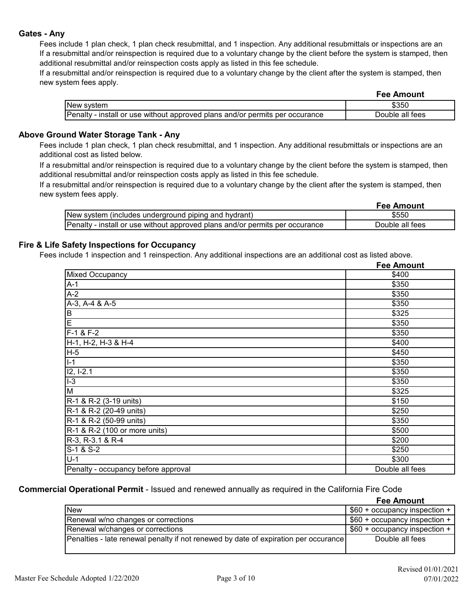## **Gates - Any**

Fees include 1 plan check, 1 plan check resubmittal, and 1 inspection. Any additional resubmittals or inspections are an If a resubmittal and/or reinspection is required due to a voluntary change by the client before the system is stamped, then additional resubmittal and/or reinspection costs apply as listed in this fee schedule.

If a resubmittal and/or reinspection is required due to a voluntary change by the client after the system is stamped, then new system fees apply.

|                                                                              | <b>Fee Amount</b> |
|------------------------------------------------------------------------------|-------------------|
| New svstem                                                                   | \$35C             |
| Penalty - install or use without approved plans and/or permits per occurance | Double all fees   |

#### **Above Ground Water Storage Tank - Any**

Fees include 1 plan check, 1 plan check resubmittal, and 1 inspection. Any additional resubmittals or inspections are an additional cost as listed below.

If a resubmittal and/or reinspection is required due to a voluntary change by the client before the system is stamped, then additional resubmittal and/or reinspection costs apply as listed in this fee schedule.

If a resubmittal and/or reinspection is required due to a voluntary change by the client after the system is stamped, then new system fees apply.

|                                                                              | <b>Fee Amount</b> |
|------------------------------------------------------------------------------|-------------------|
| New system (includes underground piping and hydrant)                         | \$550             |
| Penalty - install or use without approved plans and/or permits per occurance | Double all fees   |

## **Fire & Life Safety Inspections for Occupancy**

Fees include 1 inspection and 1 reinspection. Any additional inspections are an additional cost as listed above.

|                                     | <b>Fee Amount</b> |
|-------------------------------------|-------------------|
| <b>Mixed Occupancy</b>              | \$400             |
| $A-1$                               | \$350             |
| $A-2$                               | \$350             |
| A-3, A-4 & A-5                      | \$350             |
| $\sf B$                             | \$325             |
| Ē                                   | \$350             |
| $F-1 & F-2$                         | \$350             |
| H-1, H-2, H-3 & H-4                 | \$400             |
| $H-5$                               | \$450             |
| $I-1$                               | \$350             |
| I2, I-2.1                           | \$350             |
| $I-3$                               | \$350             |
| M                                   | \$325             |
| R-1 & R-2 (3-19 units)              | \$150             |
| R-1 & R-2 (20-49 units)             | \$250             |
| R-1 & R-2 (50-99 units)             | \$350             |
| R-1 & R-2 (100 or more units)       | \$500             |
| $R-3$ , $R-3.1$ & $R-4$             | \$200             |
| S-1 & S-2                           | \$250             |
| $U-1$                               | \$300             |
| Penalty - occupancy before approval | Double all fees   |

**Commercial Operational Permit** - Issued and renewed annually as required in the California Fire Code

|                                                                                            | <b>Fee Amount</b>                |
|--------------------------------------------------------------------------------------------|----------------------------------|
| <b>New</b>                                                                                 | $$60 +$ occupancy inspection $+$ |
| Renewal w/no changes or corrections                                                        | $$60 +$ occupancy inspection +   |
| Renewal w/changes or corrections                                                           | \$60 + occupancy inspection +    |
| <b>Penalties - late renewal penalty if not renewed by date of expiration per occurance</b> | Double all fees                  |
|                                                                                            |                                  |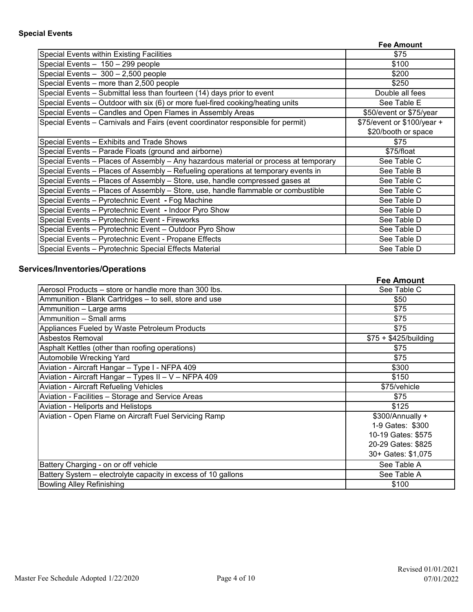|                                                                                      | <b>Fee Amount</b>          |
|--------------------------------------------------------------------------------------|----------------------------|
| Special Events within Existing Facilities                                            | \$75                       |
| Special Events - 150 - 299 people                                                    | \$100                      |
| Special Events $-300 - 2,500$ people                                                 | \$200                      |
| Special Events - more than 2,500 people                                              | \$250                      |
| Special Events - Submittal less than fourteen (14) days prior to event               | Double all fees            |
| Special Events - Outdoor with six (6) or more fuel-fired cooking/heating units       | See Table E                |
| Special Events - Candles and Open Flames in Assembly Areas                           | \$50/event or \$75/year    |
| Special Events - Carnivals and Fairs (event coordinator responsible for permit)      | \$75/event or \$100/year + |
|                                                                                      | \$20/booth or space        |
| Special Events - Exhibits and Trade Shows                                            | \$75                       |
| Special Events - Parade Floats (ground and airborne)                                 | \$75/float                 |
| Special Events - Places of Assembly - Any hazardous material or process at temporary | See Table C                |
| Special Events - Places of Assembly - Refueling operations at temporary events in    | See Table B                |
| Special Events - Places of Assembly - Store, use, handle compressed gases at         | See Table C                |
| Special Events - Places of Assembly - Store, use, handle flammable or combustible    | See Table C                |
| Special Events - Pyrotechnic Event - Fog Machine                                     | See Table D                |
| Special Events - Pyrotechnic Event - Indoor Pyro Show                                | See Table D                |
| Special Events - Pyrotechnic Event - Fireworks                                       | See Table D                |
| Special Events - Pyrotechnic Event - Outdoor Pyro Show                               | See Table D                |
| Special Events - Pyrotechnic Event - Propane Effects                                 | See Table D                |
| Special Events - Pyrotechnic Special Effects Material                                | See Table D                |

## **Services/Inventories/Operations**

|                                                               | <b>Fee Amount</b>      |
|---------------------------------------------------------------|------------------------|
| Aerosol Products - store or handle more than 300 lbs.         | See Table C            |
| Ammunition - Blank Cartridges - to sell, store and use        | \$50                   |
| Ammunition - Large arms                                       | \$75                   |
| Ammunition - Small arms                                       | \$75                   |
| Appliances Fueled by Waste Petroleum Products                 | \$75                   |
| Asbestos Removal                                              | $$75 + $425/b$ uilding |
| Asphalt Kettles (other than roofing operations)               | \$75                   |
| Automobile Wrecking Yard                                      | \$75                   |
| Aviation - Aircraft Hangar - Type I - NFPA 409                | \$300                  |
| Aviation - Aircraft Hangar - Types II - V - NFPA 409          | \$150                  |
| <b>Aviation - Aircraft Refueling Vehicles</b>                 | \$75/vehicle           |
| Aviation - Facilities - Storage and Service Areas             | \$75                   |
| Aviation - Heliports and Helistops                            | \$125                  |
| Aviation - Open Flame on Aircraft Fuel Servicing Ramp         | \$300/Annually +       |
|                                                               | 1-9 Gates: \$300       |
|                                                               | 10-19 Gates: \$575     |
|                                                               | 20-29 Gates: \$825     |
|                                                               | 30+ Gates: \$1,075     |
| Battery Charging - on or off vehicle                          | See Table A            |
| Battery System - electrolyte capacity in excess of 10 gallons | See Table A            |
| <b>Bowling Alley Refinishing</b>                              | \$100                  |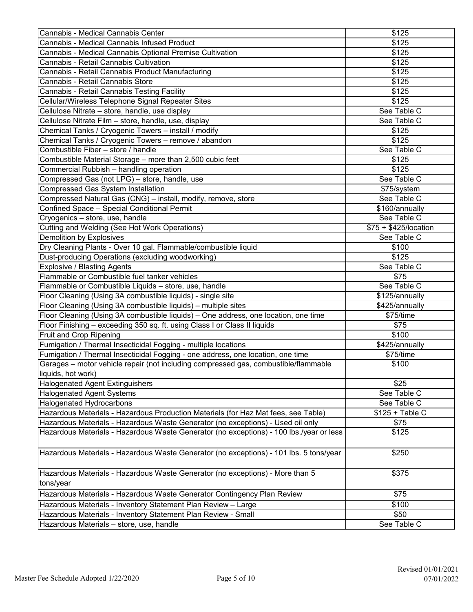| Cannabis - Medical Cannabis Center                                                      | \$125                 |
|-----------------------------------------------------------------------------------------|-----------------------|
| Cannabis - Medical Cannabis Infused Product                                             | \$125                 |
| Cannabis - Medical Cannabis Optional Premise Cultivation                                | \$125                 |
| Cannabis - Retail Cannabis Cultivation                                                  | \$125                 |
| Cannabis - Retail Cannabis Product Manufacturing                                        | \$125                 |
| Cannabis - Retail Cannabis Store                                                        | \$125                 |
| Cannabis - Retail Cannabis Testing Facility                                             | \$125                 |
| Cellular/Wireless Telephone Signal Repeater Sites                                       | \$125                 |
| Cellulose Nitrate - store, handle, use display                                          | See Table C           |
| Cellulose Nitrate Film - store, handle, use, display                                    | See Table C           |
| Chemical Tanks / Cryogenic Towers - install / modify                                    | \$125                 |
| Chemical Tanks / Cryogenic Towers - remove / abandon                                    | \$125                 |
| Combustible Fiber - store / handle                                                      | See Table C           |
| Combustible Material Storage - more than 2,500 cubic feet                               | \$125                 |
| Commercial Rubbish - handling operation                                                 | \$125                 |
| Compressed Gas (not LPG) - store, handle, use                                           | See Table C           |
| <b>Compressed Gas System Installation</b>                                               | \$75/system           |
| Compressed Natural Gas (CNG) - install, modify, remove, store                           | See Table C           |
| Confined Space - Special Conditional Permit                                             | \$160/annually        |
| Cryogenics - store, use, handle                                                         | See Table C           |
| Cutting and Welding (See Hot Work Operations)                                           | \$75 + \$425/location |
| <b>Demolition by Explosives</b>                                                         | See Table C           |
| Dry Cleaning Plants - Over 10 gal. Flammable/combustible liquid                         | \$100                 |
| Dust-producing Operations (excluding woodworking)                                       | \$125                 |
| <b>Explosive / Blasting Agents</b>                                                      | See Table C           |
| Flammable or Combustible fuel tanker vehicles                                           | \$75                  |
| Flammable or Combustible Liquids - store, use, handle                                   | See Table C           |
| Floor Cleaning (Using 3A combustible liquids) - single site                             | \$125/annually        |
| Floor Cleaning (Using 3A combustible liquids) - multiple sites                          | \$425/annually        |
| Floor Cleaning (Using 3A combustible liquids) - One address, one location, one time     | \$75/time             |
| Floor Finishing - exceeding 350 sq. ft. using Class I or Class II liquids               | \$75                  |
| Fruit and Crop Ripening                                                                 | \$100                 |
| Fumigation / Thermal Insecticidal Fogging - multiple locations                          | \$425/annually        |
| Fumigation / Thermal Insecticidal Fogging - one address, one location, one time         | \$75/time             |
| Garages - motor vehicle repair (not including compressed gas, combustible/flammable     | \$100                 |
| liquids, hot work)                                                                      |                       |
| <b>Halogenated Agent Extinguishers</b>                                                  | \$25                  |
| <b>Halogenated Agent Systems</b>                                                        | See Table C           |
| Halogenated Hydrocarbons                                                                | See Table C           |
| Hazardous Materials - Hazardous Production Materials (for Haz Mat fees, see Table)      | $$125 + Table C$      |
| Hazardous Materials - Hazardous Waste Generator (no exceptions) - Used oil only         | \$75                  |
| Hazardous Materials - Hazardous Waste Generator (no exceptions) - 100 lbs./year or less | \$125                 |
|                                                                                         |                       |
| Hazardous Materials - Hazardous Waste Generator (no exceptions) - 101 lbs. 5 tons/year  | \$250                 |
| Hazardous Materials - Hazardous Waste Generator (no exceptions) - More than 5           | \$375                 |
| tons/year                                                                               |                       |
| Hazardous Materials - Hazardous Waste Generator Contingency Plan Review                 | \$75                  |
| Hazardous Materials - Inventory Statement Plan Review - Large                           | \$100                 |
| Hazardous Materials - Inventory Statement Plan Review - Small                           | \$50                  |
| Hazardous Materials - store, use, handle                                                | See Table C           |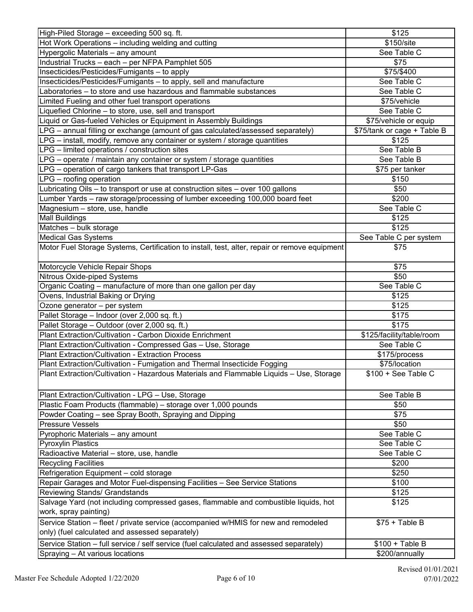| High-Piled Storage - exceeding 500 sq. ft.                                                    | \$125                       |
|-----------------------------------------------------------------------------------------------|-----------------------------|
| Hot Work Operations - including welding and cutting                                           | \$150/site                  |
| Hypergolic Materials - any amount                                                             | See Table C                 |
| Industrial Trucks - each - per NFPA Pamphlet 505                                              | \$75                        |
| Insecticides/Pesticides/Fumigants - to apply                                                  | \$75/\$400                  |
| Insecticides/Pesticides/Fumigants - to apply, sell and manufacture                            | See Table C                 |
| Laboratories - to store and use hazardous and flammable substances                            | See Table C                 |
| Limited Fueling and other fuel transport operations                                           | \$75/vehicle                |
| Liquefied Chlorine - to store, use, sell and transport                                        | See Table C                 |
| Liquid or Gas-fueled Vehicles or Equipment in Assembly Buildings                              | \$75/vehicle or equip       |
| LPG - annual filling or exchange (amount of gas calculated/assessed separately)               | \$75/tank or cage + Table B |
| LPG - install, modify, remove any container or system / storage quantities                    | \$125                       |
| LPG - limited operations / construction sites                                                 | See Table B                 |
| LPG – operate / maintain any container or system / storage quantities                         | See Table B                 |
| LPG – operation of cargo tankers that transport LP-Gas                                        | \$75 per tanker             |
| LPG - roofing operation                                                                       | \$150                       |
| Lubricating Oils - to transport or use at construction sites - over 100 gallons               | \$50                        |
| Lumber Yards - raw storage/processing of lumber exceeding 100,000 board feet                  | \$200                       |
| Magnesium - store, use, handle                                                                | See Table C                 |
| <b>Mall Buildings</b>                                                                         | \$125                       |
| Matches - bulk storage                                                                        | \$125                       |
| <b>Medical Gas Systems</b>                                                                    | See Table C per system      |
| Motor Fuel Storage Systems, Certification to install, test, alter, repair or remove equipment | \$75                        |
| Motorcycle Vehicle Repair Shops                                                               | \$75                        |
| Nitrous Oxide-piped Systems                                                                   | \$50                        |
| Organic Coating - manufacture of more than one gallon per day                                 | See Table C                 |
| Ovens, Industrial Baking or Drying                                                            | \$125                       |
| Ozone generator - per system                                                                  | \$125                       |
| Pallet Storage - Indoor (over 2,000 sq. ft.)                                                  | \$175                       |
| Pallet Storage - Outdoor (over 2,000 sq. ft.)                                                 | \$175                       |
| Plant Extraction/Cultivation - Carbon Dioxide Enrichment                                      | \$125/facility/table/room   |
| Plant Extraction/Cultivation - Compressed Gas - Use, Storage                                  | See Table C                 |
| Plant Extraction/Cultivation - Extraction Process                                             | \$175/process               |
| Plant Extraction/Cultivation - Fumigation and Thermal Insecticide Fogging                     | \$75/location               |
| Plant Extraction/Cultivation - Hazardous Materials and Flammable Liquids - Use, Storage       | $$100 + See Table C$        |
| Plant Extraction/Cultivation - LPG - Use, Storage                                             | See Table B                 |
| Plastic Foam Products (flammable) - storage over 1,000 pounds                                 | \$50                        |
| Powder Coating - see Spray Booth, Spraying and Dipping                                        | \$75                        |
| <b>Pressure Vessels</b>                                                                       | \$50                        |
| Pyrophoric Materials - any amount                                                             | See Table C                 |
| <b>Pyroxylin Plastics</b>                                                                     | See Table C                 |
| Radioactive Material - store, use, handle                                                     | See Table C                 |
| <b>Recycling Facilities</b>                                                                   | \$200                       |
| Refrigeration Equipment - cold storage                                                        | \$250                       |
| Repair Garages and Motor Fuel-dispensing Facilities - See Service Stations                    | \$100                       |
| Reviewing Stands/ Grandstands                                                                 | \$125                       |
| Salvage Yard (not including compressed gases, flammable and combustible liquids, hot          | \$125                       |
| work, spray painting)                                                                         |                             |
| Service Station - fleet / private service (accompanied w/HMIS for new and remodeled           | $$75 + Table B$             |
| only) (fuel calculated and assessed separately)                                               |                             |
| Service Station - full service / self service (fuel calculated and assessed separately)       | $$100 + Table B$            |
| Spraying - At various locations                                                               | \$200/annually              |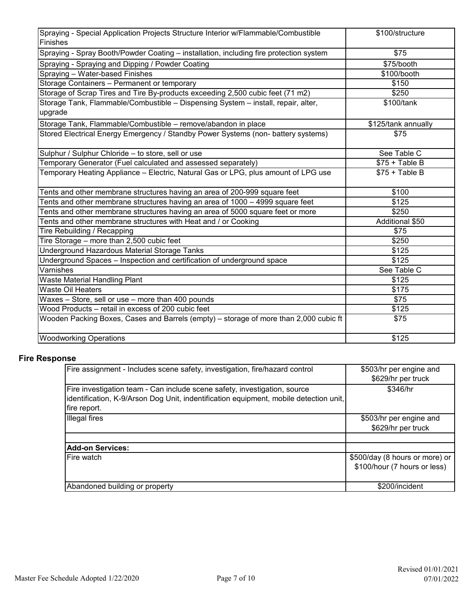| Spraying - Special Application Projects Structure Interior w/Flammable/Combustible<br>Finishes | \$100/structure     |
|------------------------------------------------------------------------------------------------|---------------------|
| Spraying - Spray Booth/Powder Coating - installation, including fire protection system         | \$75                |
| Spraying - Spraying and Dipping / Powder Coating                                               | \$75/booth          |
| Spraying - Water-based Finishes                                                                | \$100/booth         |
| Storage Containers - Permanent or temporary                                                    | \$150               |
| Storage of Scrap Tires and Tire By-products exceeding 2,500 cubic feet (71 m2)                 | \$250               |
| Storage Tank, Flammable/Combustible - Dispensing System - install, repair, alter,              | \$100/tank          |
| upgrade                                                                                        |                     |
| Storage Tank, Flammable/Combustible - remove/abandon in place                                  | \$125/tank annually |
| Stored Electrical Energy Emergency / Standby Power Systems (non- battery systems)              | \$75                |
| Sulphur / Sulphur Chloride - to store, sell or use                                             | See Table C         |
| Temporary Generator (Fuel calculated and assessed separately)                                  | $$75 + Table B$     |
| Temporary Heating Appliance – Electric, Natural Gas or LPG, plus amount of LPG use             | $$75 + Table B$     |
| Tents and other membrane structures having an area of 200-999 square feet                      | \$100               |
| Tents and other membrane structures having an area of 1000 - 4999 square feet                  | \$125               |
| Tents and other membrane structures having an area of 5000 square feet or more                 | \$250               |
| Tents and other membrane structures with Heat and / or Cooking                                 | Additional \$50     |
| Tire Rebuilding / Recapping                                                                    | \$75                |
| Tire Storage - more than 2,500 cubic feet                                                      | \$250               |
| Underground Hazardous Material Storage Tanks                                                   | \$125               |
| Underground Spaces - Inspection and certification of underground space                         | \$125               |
| Varnishes                                                                                      | See Table C         |
| <b>Waste Material Handling Plant</b>                                                           | \$125               |
| <b>Waste Oil Heaters</b>                                                                       | \$175               |
| Waxes - Store, sell or use - more than 400 pounds                                              | \$75                |
| Wood Products - retail in excess of 200 cubic feet                                             | \$125               |
| Wooden Packing Boxes, Cases and Barrels (empty) - storage of more than 2,000 cubic ft          | \$75                |
| <b>Woodworking Operations</b>                                                                  | \$125               |

## **Fire Response**

| Fire assignment - Includes scene safety, investigation, fire/hazard control                                                                                                        | \$503/hr per engine and<br>\$629/hr per truck                  |
|------------------------------------------------------------------------------------------------------------------------------------------------------------------------------------|----------------------------------------------------------------|
| Fire investigation team - Can include scene safety, investigation, source<br>identification, K-9/Arson Dog Unit, indentification equipment, mobile detection unit,<br>fire report. | \$346/hr                                                       |
| Illegal fires                                                                                                                                                                      | \$503/hr per engine and<br>\$629/hr per truck                  |
| <b>Add-on Services:</b>                                                                                                                                                            |                                                                |
| Fire watch                                                                                                                                                                         | \$500/day (8 hours or more) or<br>\$100/hour (7 hours or less) |
| Abandoned building or property                                                                                                                                                     | \$200/incident                                                 |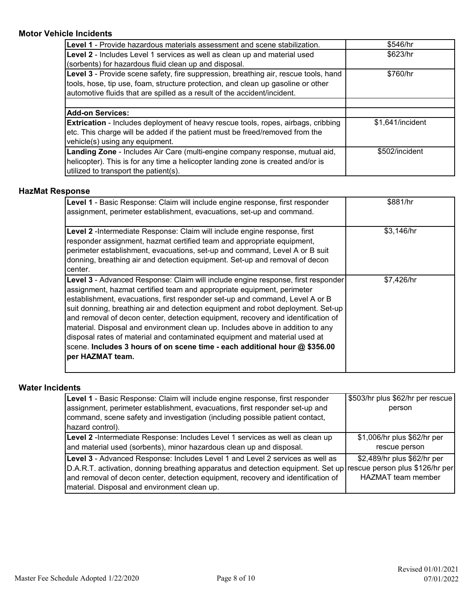## **Motor Vehicle Incidents**

| <b>Level 1</b> - Provide hazardous materials assessment and scene stabilization.         | \$546/hr         |
|------------------------------------------------------------------------------------------|------------------|
| Level 2 - Includes Level 1 services as well as clean up and material used                | \$623/hr         |
| (sorbents) for hazardous fluid clean up and disposal.                                    |                  |
| Level 3 - Provide scene safety, fire suppression, breathing air, rescue tools, hand      | \$760/hr         |
| tools, hose, tip use, foam, structure protection, and clean up gasoline or other         |                  |
| automotive fluids that are spilled as a result of the accident/incident.                 |                  |
|                                                                                          |                  |
| <b>Add-on Services:</b>                                                                  |                  |
| <b>Extrication</b> - Includes deployment of heavy rescue tools, ropes, airbags, cribbing | \$1.641/incident |
| etc. This charge will be added if the patient must be freed/removed from the             |                  |
| vehicle(s) using any equipment.                                                          |                  |
| Landing Zone - Includes Air Care (multi-engine company response, mutual aid,             | \$502/incident   |
| helicopter). This is for any time a helicopter landing zone is created and/or is         |                  |
| utilized to transport the patient(s).                                                    |                  |

## **HazMat Response**

| Level 1 - Basic Response: Claim will include engine response, first responder<br>assignment, perimeter establishment, evacuations, set-up and command.                                                                                                                                                                                                                                                                                                                                                                                                                                                                                                                               | \$881/hr   |
|--------------------------------------------------------------------------------------------------------------------------------------------------------------------------------------------------------------------------------------------------------------------------------------------------------------------------------------------------------------------------------------------------------------------------------------------------------------------------------------------------------------------------------------------------------------------------------------------------------------------------------------------------------------------------------------|------------|
| Level 2 - Intermediate Response: Claim will include engine response, first<br>responder assignment, hazmat certified team and appropriate equipment,<br>perimeter establishment, evacuations, set-up and command, Level A or B suit<br>donning, breathing air and detection equipment. Set-up and removal of decon<br>center.                                                                                                                                                                                                                                                                                                                                                        | \$3,146/hr |
| Level 3 - Advanced Response: Claim will include engine response, first responder<br>assignment, hazmat certified team and appropriate equipment, perimeter<br>establishment, evacuations, first responder set-up and command, Level A or B<br>suit donning, breathing air and detection equipment and robot deployment. Set-up<br>and removal of decon center, detection equipment, recovery and identification of<br>material. Disposal and environment clean up. Includes above in addition to any<br>disposal rates of material and contaminated equipment and material used at<br>scene. Includes 3 hours of on scene time - each additional hour @ \$356.00<br>per HAZMAT team. | \$7,426/hr |

## **Water Incidents**

| Level 1 - Basic Response: Claim will include engine response, first responder<br>assignment, perimeter establishment, evacuations, first responder set-up and | \$503/hr plus \$62/hr per rescue<br>person |
|---------------------------------------------------------------------------------------------------------------------------------------------------------------|--------------------------------------------|
| command, scene safety and investigation (including possible patient contact,<br>hazard control).                                                              |                                            |
| Level 2 -Intermediate Response: Includes Level 1 services as well as clean up                                                                                 | \$1,006/hr plus \$62/hr per                |
| and material used (sorbents), minor hazardous clean up and disposal.                                                                                          | rescue person                              |
| Level 3 - Advanced Response: Includes Level 1 and Level 2 services as well as                                                                                 | \$2,489/hr plus \$62/hr per                |
| D.A.R.T. activation, donning breathing apparatus and detection equipment. Set up rescue person plus \$126/hr per                                              |                                            |
| and removal of decon center, detection equipment, recovery and identification of                                                                              | <b>HAZMAT</b> team member                  |
| material. Disposal and environment clean up.                                                                                                                  |                                            |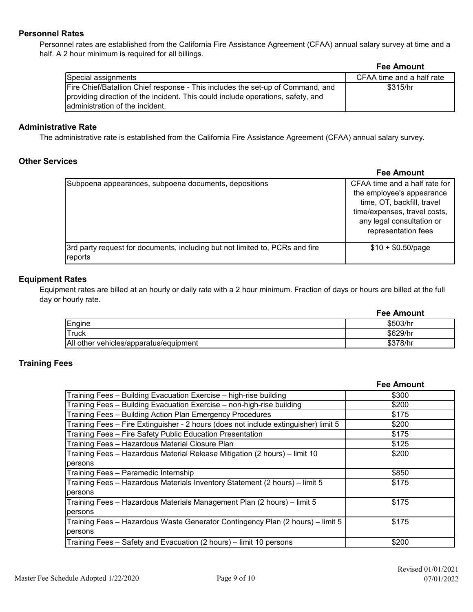## **Personnel Rates**

Personnel rates are established from the California Fire Assistance Agreement (CFAA) annual salary survey at time and a half. A 2 hour minimum is required for all billings.

| <b>Fee Amount</b> |  |  |  |
|-------------------|--|--|--|
|-------------------|--|--|--|

|                                                                                 | .                         |
|---------------------------------------------------------------------------------|---------------------------|
| Special assignments                                                             | CFAA time and a half rate |
| Fire Chief/Batallion Chief response - This includes the set-up of Command, and  | \$315/hr                  |
| providing direction of the incident. This could include operations, safety, and |                           |
| ladministration of the incident.                                                |                           |

## **Administrative Rate**

The administrative rate is established from the California Fire Assistance Agreement (CFAA) annual salary survey.

### **Other Services**

|                                                                              | <b>Fee Amount</b>             |
|------------------------------------------------------------------------------|-------------------------------|
| Subpoena appearances, subpoena documents, depositions                        | CFAA time and a half rate for |
|                                                                              | the employee's appearance     |
|                                                                              | time, OT, backfill, travel    |
|                                                                              | time/expenses, travel costs,  |
|                                                                              | any legal consultation or     |
|                                                                              | representation fees           |
| 3rd party request for documents, including but not limited to, PCRs and fire | $$10 + $0.50$ /page           |
| reports                                                                      |                               |

## **Equipment Rates**

Equipment rates are billed at an hourly or daily rate with a 2 hour minimum. Fraction of days or hours are billed at the full day or hourly rate.

|                                        | <b>Fee Amount</b> |
|----------------------------------------|-------------------|
| Engine                                 | \$503/hr          |
| <b>Truck</b>                           | \$629/hr          |
| All other vehicles/apparatus/equipment | \$378/hr          |

## **Training Fees**

|                                                                                     | <b>Fee Amount</b> |
|-------------------------------------------------------------------------------------|-------------------|
| Training Fees - Building Evacuation Exercise - high-rise building                   | \$300             |
| Training Fees - Building Evacuation Exercise - non-high-rise building               | \$200             |
| Training Fees - Building Action Plan Emergency Procedures                           | \$175             |
| Training Fees - Fire Extinguisher - 2 hours (does not include extinguisher) limit 5 | \$200             |
| Training Fees - Fire Safety Public Education Presentation                           | \$175             |
| Training Fees - Hazardous Material Closure Plan                                     | \$125             |
| Training Fees - Hazardous Material Release Mitigation (2 hours) - limit 10          | \$200             |
| persons                                                                             |                   |
| Training Fees - Paramedic Internship                                                | \$850             |
| Training Fees - Hazardous Materials Inventory Statement (2 hours) - limit 5         | \$175             |
| persons                                                                             |                   |
| Training Fees - Hazardous Materials Management Plan (2 hours) - limit 5             | \$175             |
| persons                                                                             |                   |
| Training Fees - Hazardous Waste Generator Contingency Plan (2 hours) - limit 5      | \$175             |
| persons                                                                             |                   |
| Training Fees - Safety and Evacuation (2 hours) - limit 10 persons                  | \$200             |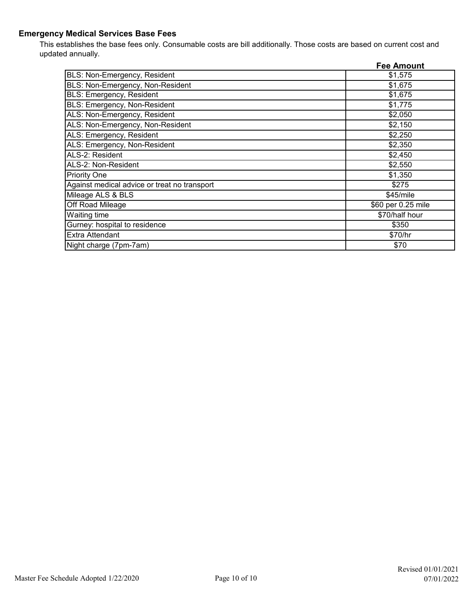## **Emergency Medical Services Base Fees**

This establishes the base fees only. Consumable costs are bill additionally. Those costs are based on current cost and updated annually.

|                                              | <b>Fee Amount</b>  |
|----------------------------------------------|--------------------|
| BLS: Non-Emergency, Resident                 | \$1,575            |
| BLS: Non-Emergency, Non-Resident             | \$1,675            |
| <b>BLS: Emergency, Resident</b>              | \$1,675            |
| BLS: Emergency, Non-Resident                 | \$1,775            |
| ALS: Non-Emergency, Resident                 | \$2,050            |
| ALS: Non-Emergency, Non-Resident             | \$2,150            |
| ALS: Emergency, Resident                     | \$2,250            |
| ALS: Emergency, Non-Resident                 | \$2,350            |
| ALS-2: Resident                              | \$2,450            |
| ALS-2: Non-Resident                          | \$2,550            |
| <b>Priority One</b>                          | \$1,350            |
| Against medical advice or treat no transport | \$275              |
| Mileage ALS & BLS                            | \$45/mile          |
| Off Road Mileage                             | \$60 per 0.25 mile |
| Waiting time                                 | \$70/half hour     |
| Gurney: hospital to residence                | \$350              |
| <b>Extra Attendant</b>                       | \$70/hr            |
| Night charge (7pm-7am)                       | \$70               |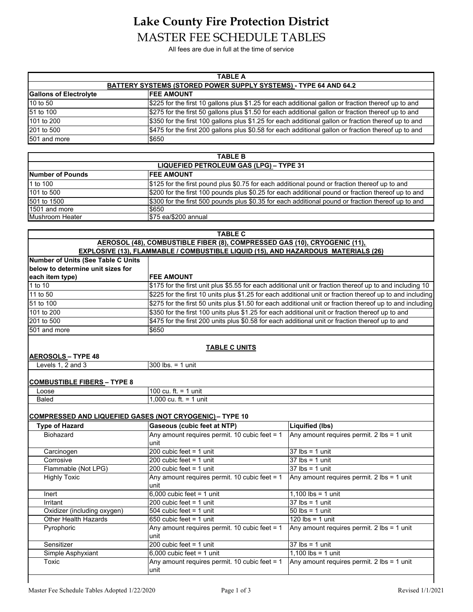## **Lake County Fire Protection District** MASTER FEE SCHEDULE TABLES

All fees are due in full at the time of service

| <b>TABLE A</b>                                                          |                                                                                                      |  |
|-------------------------------------------------------------------------|------------------------------------------------------------------------------------------------------|--|
| <b>BATTERY SYSTEMS (STORED POWER SUPPLY SYSTEMS) - TYPE 64 AND 64.2</b> |                                                                                                      |  |
| <b>Gallons of Electrolyte</b>                                           | <b>IFEE AMOUNT</b>                                                                                   |  |
| 10 to 50                                                                | \$225 for the first 10 gallons plus \$1.25 for each additional gallon or fraction thereof up to and  |  |
| 51 to 100                                                               | \$275 for the first 50 gallons plus \$1.50 for each additional gallon or fraction thereof up to and  |  |
| 101 to 200                                                              | \$350 for the first 100 gallons plus \$1.25 for each additional gallon or fraction thereof up to and |  |
| 201 to 500                                                              | \$475 for the first 200 gallons plus \$0.58 for each additional gallon or fraction thereof up to and |  |
| 501 and more                                                            | \$650                                                                                                |  |

| <b>TABLE B</b>                          |                                                                                                    |  |
|-----------------------------------------|----------------------------------------------------------------------------------------------------|--|
| LIQUEFIED PETROLEUM GAS (LPG) - TYPE 31 |                                                                                                    |  |
| Number of Pounds                        | <b>IFEE AMOUNT</b>                                                                                 |  |
| 1 to 100                                | \$125 for the first pound plus \$0.75 for each additional pound or fraction thereof up to and      |  |
| 101 to 500                              | \$200 for the first 100 pounds plus \$0.25 for each additional pound or fraction thereof up to and |  |
| 501 to 1500                             | \$300 for the first 500 pounds plus \$0.35 for each additional pound or fraction thereof up to and |  |
| 1501 and more                           | \$650                                                                                              |  |
| Mushroom Heater                         | \$75 ea/\$200 annual                                                                               |  |

| <b>TABLE C</b>                                                                           |
|------------------------------------------------------------------------------------------|
| AEROSOL (48), COMBUSTIBLE FIBER (8), COMPRESSED GAS (10), CRYOGENIC (11),                |
| <b>EXPLOSIVE (13), FLAMMABLE / COMBUSTIBLE LIQUID (15), AND HAZARDOUS MATERIALS (26)</b> |

| Number of Units (See Table C Units                              |                                                                                                  |                                                                                                           |
|-----------------------------------------------------------------|--------------------------------------------------------------------------------------------------|-----------------------------------------------------------------------------------------------------------|
| below to determine unit sizes for                               |                                                                                                  |                                                                                                           |
| each item type)                                                 | <b>IFEE AMOUNT</b>                                                                               |                                                                                                           |
| 1 to 10                                                         |                                                                                                  | \$175 for the first unit plus \$5.55 for each additional unit or fraction thereof up to and including 10  |
| 11 to 50                                                        |                                                                                                  | \$225 for the first 10 units plus \$1.25 for each additional unit or fraction thereof up to and including |
| 51 to 100                                                       |                                                                                                  | \$275 for the first 50 units plus \$1.50 for each additional unit or fraction thereof up to and including |
| 101 to 200                                                      | \$350 for the first 100 units plus \$1.25 for each additional unit or fraction thereof up to and |                                                                                                           |
| 201 to 500                                                      | \$475 for the first 200 units plus \$0.58 for each additional unit or fraction thereof up to and |                                                                                                           |
| 501 and more                                                    | \$650                                                                                            |                                                                                                           |
|                                                                 |                                                                                                  |                                                                                                           |
| <b>AEROSOLS - TYPE 48</b>                                       | <b>TABLE C UNITS</b>                                                                             |                                                                                                           |
| Levels 1, 2 and 3                                               | $300$ lbs. = 1 unit                                                                              |                                                                                                           |
|                                                                 |                                                                                                  |                                                                                                           |
| <b>COMBUSTIBLE FIBERS - TYPE 8</b>                              |                                                                                                  |                                                                                                           |
| Loose                                                           | 100 cu. ft. = 1 unit                                                                             |                                                                                                           |
| Baled                                                           | 1.000 cu. ft. = 1 unit                                                                           |                                                                                                           |
| <b>COMPRESSED AND LIQUEFIED GASES (NOT CRYOGENIC) - TYPE 10</b> |                                                                                                  |                                                                                                           |
| <b>Type of Hazard</b>                                           | Gaseous (cubic feet at NTP)                                                                      | <b>Liquified (lbs)</b>                                                                                    |
| Biohazard                                                       | Any amount requires permit. 10 cubic feet = $1$                                                  | Any amount requires permit. 2 lbs = 1 unit                                                                |
|                                                                 | unit                                                                                             |                                                                                                           |
| Carcinogen                                                      | 200 cubic feet $= 1$ unit                                                                        | $37$ lbs = 1 unit                                                                                         |
| Corrosive                                                       | 200 cubic feet $= 1$ unit                                                                        | $37$ lbs = 1 unit                                                                                         |
| Flammable (Not LPG)                                             | 200 cubic feet $= 1$ unit                                                                        | $37$ lbs = 1 unit                                                                                         |
| <b>Highly Toxic</b>                                             | Any amount requires permit. 10 cubic feet = $1$                                                  | Any amount requires permit. 2 lbs = 1 unit                                                                |
|                                                                 | lunit                                                                                            |                                                                                                           |

 $\boxed{6,000}$  cubic feet = 1 unit 1,100 lbs = 1 unit  $Irr$ itant  $200$  cubic feet = 1 unit  $37$  lbs = 1 unit Oxidizer (including oxygen)  $504$  cubic feet = 1 unit  $50 \text{ lbs} = 1 \text{ unit}$ Other Health Hazards 650 cubic feet = 1 unit 120 lbs = 1 unit

Sensitizer 200 cubic feet = 1 unit 37 lbs = 1 unit Simple Asphyxiant 6,000 cubic feet = 1 unit 1,100 lbs = 1 unit

Pyrophoric **Any amount requires permit.** 10 cubic feet = 1 unit

Toxic **Any amount requires permit.** 10 cubic feet = 1 unit

Any amount requires permit. 2 lbs = 1 unit

Any amount requires permit. 2 lbs = 1 unit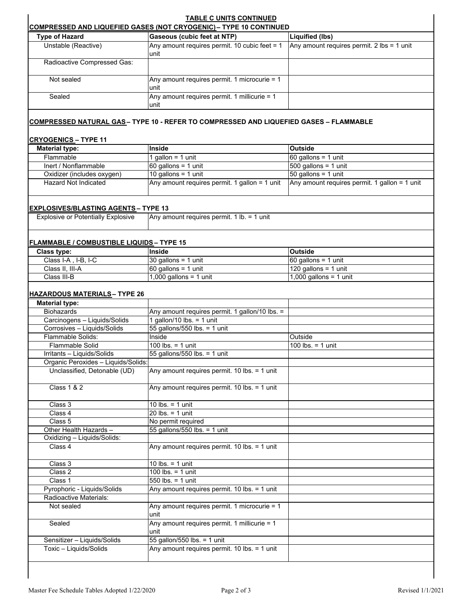| <b>Type of Hazard</b>                                               | <b>COMPRESSED AND LIQUEFIED GASES (NOT CRYOGENIC) - TYPE 10 CONTINUED</b><br>Gaseous (cubic feet at NTP) | Liquified (lbs)                               |
|---------------------------------------------------------------------|----------------------------------------------------------------------------------------------------------|-----------------------------------------------|
| Unstable (Reactive)                                                 | Any amount requires permit. 10 cubic feet = 1<br>unit                                                    | Any amount requires permit. 2 lbs = 1 unit    |
| Radioactive Compressed Gas:                                         |                                                                                                          |                                               |
| Not sealed                                                          | Any amount requires permit. 1 microcurie = 1<br>unit                                                     |                                               |
| Sealed                                                              | Any amount requires permit. 1 millicurie = 1<br>unit                                                     |                                               |
|                                                                     | <u> COMPRESSED NATURAL GAS</u> - TYPE 10 - REFER TO COMPRESSED AND LIQUEFIED GASES – FLAMMABLE           |                                               |
| <b>CRYOGENICS-TYPE 11</b>                                           |                                                                                                          |                                               |
| <b>Material type:</b>                                               | Inside                                                                                                   | <b>Outside</b>                                |
| Flammable                                                           | 1 gallon = $1$ unit                                                                                      | 60 gallons = $1$ unit                         |
| Inert / Nonflammable                                                | $60$ gallons = 1 unit                                                                                    | $500$ gallons = 1 unit                        |
| Oxidizer (includes oxygen)                                          | 10 gallons = $1$ unit                                                                                    | 50 gallons = $1$ unit                         |
| <b>Hazard Not Indicated</b>                                         | Any amount requires permit. 1 gallon = 1 unit                                                            | Any amount requires permit. 1 gallon = 1 unit |
| <b>EXPLOSIVES/BLASTING AGENTS- TYPE 13</b>                          |                                                                                                          |                                               |
| <b>Explosive or Potentially Explosive</b>                           | Any amount requires permit. 1 lb. = 1 unit                                                               |                                               |
|                                                                     |                                                                                                          |                                               |
| <b>FLAMMABLE / COMBUSTIBLE LIQUIDS - TYPE 15</b>                    |                                                                                                          |                                               |
| Class type:                                                         | Inside                                                                                                   | <b>Outside</b>                                |
| Class I-A, I-B, I-C                                                 | $30$ gallons = 1 unit                                                                                    | $60$ gallons = 1 unit                         |
| Class II, III-A                                                     | $60$ gallons = 1 unit                                                                                    | 120 gallons = 1 unit                          |
| Class III-B                                                         | $1,000$ gallons = 1 unit                                                                                 | $1,000$ gallons = 1 unit                      |
|                                                                     |                                                                                                          |                                               |
| <u> HAZARDOUS MATERIALS –</u> TYPE 26                               |                                                                                                          |                                               |
| <b>Material type:</b>                                               |                                                                                                          |                                               |
| <b>Biohazards</b>                                                   | Any amount requires permit. 1 gallon/10 lbs. =                                                           |                                               |
| Carcinogens - Liquids/Solids                                        | 1 gallon/10 lbs. = 1 unit                                                                                |                                               |
| Corrosives - Liquids/Solids                                         | 55 gallons/550 lbs. = 1 unit                                                                             |                                               |
| Flammable Solids:                                                   | Inside                                                                                                   | Outside                                       |
| Flammable Solid                                                     | 100 lbs. $=$ 1 unit                                                                                      | 100 lbs. $=$ 1 unit                           |
| Irritants - Liquids/Solids                                          | 55 gallons/550 lbs. = 1 unit                                                                             |                                               |
| Organic Peroxides - Liquids/Solids:<br>Unclassified, Detonable (UD) | Any amount requires permit. 10 lbs. = 1 unit                                                             |                                               |
| <b>Class 1 &amp; 2</b>                                              | Any amount requires permit. 10 lbs. = 1 unit                                                             |                                               |
|                                                                     |                                                                                                          |                                               |
| Class 3                                                             | 10 lbs. = $1$ unit                                                                                       |                                               |
| Class 4                                                             | $20$ lbs. = 1 unit                                                                                       |                                               |
| Class 5                                                             | No permit required                                                                                       |                                               |
| Other Health Hazards -                                              | 55 gallons/550 lbs. = 1 unit                                                                             |                                               |
| Oxidizing - Liquids/Solids:<br>Class 4                              | Any amount requires permit. 10 lbs. = 1 unit                                                             |                                               |
| Class 3                                                             | 10 lbs. $=$ 1 unit                                                                                       |                                               |
| Class 2                                                             | 100 lbs. $= 1$ unit                                                                                      |                                               |
| Class 1                                                             | $550$ lbs. = 1 unit                                                                                      |                                               |
| Pyrophoric - Liquids/Solids                                         | Any amount requires permit. 10 lbs. = 1 unit                                                             |                                               |
| Radioactive Materials:                                              |                                                                                                          |                                               |
| Not sealed                                                          | Any amount requires permit. 1 microcurie = 1<br>unit                                                     |                                               |
| Sealed                                                              | Any amount requires permit. 1 millicurie = 1<br>unit                                                     |                                               |
| Sensitizer - Liquids/Solids                                         | 55 gallon/550 lbs. = 1 unit                                                                              |                                               |